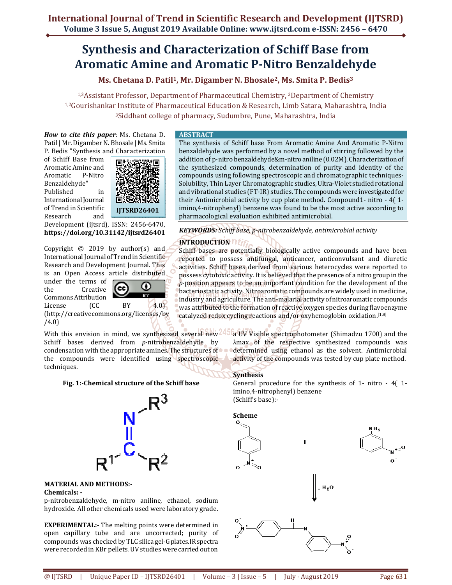# **Synthesis and Characterization of Schiff Base from Aromatic Amine and Aromatic P-Nitro Benzaldehyde**

**Ms. Chetana D. Patil1, Mr. Digamber N. Bhosale2, Ms. Smita P. Bedis<sup>3</sup>**

1,3Assistant Professor, Department of Pharmaceutical Chemistry, 2Department of Chemistry 1,2Gourishankar Institute of Pharmaceutical Education & Research, Limb Satara, Maharashtra, India <sup>3</sup>Siddhant college of pharmacy, Sudumbre, Pune, Maharashtra, India

*How to cite this paper:* Ms. Chetana D. Patil | Mr. Digamber N. Bhosale | Ms. Smita P. Bedis "Synthesis and Characterization

of Schiff Base from Aromatic Amine and Aromatic P-Nitro Benzaldehyde" Published in International Journal of Trend in Scientific Research and



Development (ijtsrd), ISSN: 2456-6470, **https://doi.org/10.31142/ijtsrd26401**

Copyright  $\odot$  2019 by author(s) and International Journal of Trend in Scientific Research and Development Journal. This is an Open Access article distributed

under the terms of the Creative Commons Attribution

റ (cc **Tara** 

License (CC BY 4.0) (http://creativecommons.org/licenses/by /4.0)

With this envision in mind, we synthesized several new<sup>445</sup> Schiff bases derived from *p*-nitrobenzaldehyde by condensation with the appropriate amines. The structures of the compounds were identified using spectroscopic techniques.

## **Fig. 1:-Chemical structure of the Schiff base**



#### **MATERIAL AND METHODS:- Chemicals: -**

p-nitrobenzaldehyde*,* m-nitro aniline*,* ethanol, sodium hydroxide. All other chemicals used were laboratory grade.

**EXPERIMENTAL:-** The melting points were determined in open capillary tube and are uncorrected; purity of compounds was checked by TLC silica gel-G plates.IR spectra were recorded in KBr pellets. UV studies were carried out on

#### **ABSTRACT**

The synthesis of Schiff base From Aromatic Amine And Aromatic P-Nitro benzaldehyde was performed by a novel method of stirring followed by the addition of p-nitro benzaldehyde&m-nitro aniline (0.02M). Characterization of the synthesized compounds, determination of purity and identity of the compounds using following spectroscopic and chromatographic techniques-Solubility, Thin Layer Chromatographic studies, Ultra-Violet studied rotational and vibrational studies (FT-IR) studies. The compounds were investigated for their Antimicrobial activity by cup plate method. Compound1- nitro - 4( 1 imino,4-nitrophenyl) benzene was found to be the most active according to pharmacological evaluation exhibited antimicrobial.

*KEYWORDS: Schiff base, p-nitrobenzaldehyde, antimicrobial activity* 

# **INTRODUCTION**

Schiff bases are potentially biologically active compounds and have been reported to possess antifungal, anticancer, anticonvulsant and diuretic activities. Schiff bases derived from various heterocycles were reported to possess cytotoxic activity. It is believed that the presence of a nitro group in the *p*-position appears to be an important condition for the development of the bacteriostatic activity. Nitroaromatic compounds are widely used in medicine, industry and agriculture. The anti-malarial activity of nitroaromatic compounds was attributed to the formation of reactive oxygen species during flavoenzyme catalyzed redox cycling reactions and/or oxyhemoglobin oxidation.[1,8]

> a UV Visible spectrophotometer (Shimadzu 1700) and the λmax of the respective synthesized compounds was determined using ethanol as the solvent. Antimicrobial activity of the compounds was tested by cup plate method.

## **Synthesis**

General procedure for the synthesis of 1- nitro - 4( 1 imino,4-nitrophenyl) benzene (Schiff's base):-





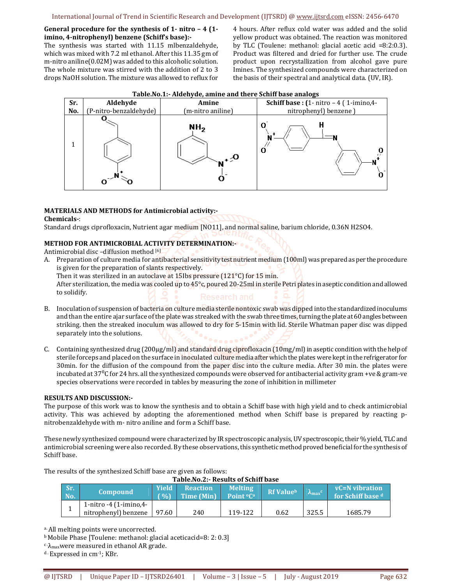## **General procedure for the synthesis of 1- nitro – 4 (1 imino, 4-nitrophenyl) benzene (Schiff's base):-**

The synthesis was started with 11.15 mlbenzaldehyde, which was mixed with 7.2 ml ethanol. After this 11.35 gm of m-nitro aniline(0.02M) was added to this alcoholic solution. The whole mixture was stirred with the addition of 2 to 3 drops NaOH solution. The mixture was allowed to reflux for 4 hours. After reflux cold water was added and the solid yellow product was obtained. The reaction was monitored by TLC (Toulene: methanol: glacial acetic acid =8:2:0.3). Product was filtered and dried for further use. The crude product upon recrystallization from alcohol gave pure Imines. The synthesized compounds were characterized on the basis of their spectral and analytical data. (UV, IR).



#### **Table.No.1:- Aldehyde, amine and there Schiff base analogs**

# **MATERIALS AND METHODS for Antimicrobial activity:-**

## **Chemicals-**:

Standard drugs ciprofloxacin, Nutrient agar medium [NO11], and normal saline, barium chloride, 0.36N H2SO4.

# **METHOD FOR ANTIMICROBIAL ACTIVITY DETERMINATION:-**

Antimicrobial disc –diffusion method [6]

A. Preparation of culture media for antibacterial sensitivity test nutrient medium (100ml) was prepared as per the procedure is given for the preparation of slants respectively. Then it was sterilized in an autoclave at 15Ibs pressure (121°C) for 15 min. After sterilization, the media was cooled up to 45°c, poured 20-25ml in sterile Petri plates in aseptic condition and allowed to solidify.

# B. Inoculation of suspension of bacteria on culture media sterile nontoxic swab was dipped into the standardized inoculums and than the entire ajar surface of the plate was streaked with the swab three times, turning the plate at 60 angles between striking. then the streaked inoculum was allowed to dry for 5-15min with lid. Sterile Whatman paper disc was dipped separately into the solutions.

C. Containing synthesized drug (200µg/ml) and standard drug ciprofloxacin (10mg/ml) in aseptic condition with the help of sterile forceps and placed on the surface in inoculated culture media after which the plates were kept in the refrigerator for 30min. for the diffusion of the compound from the paper disc into the culture media. After 30 min. the plates were incubated at  $37\textdegree$ C for 24 hrs. all the synthesized compounds were observed for antibacterial activity gram +ve & gram-ve species observations were recorded in tables by measuring the zone of inhibition in millimeter

## **RESULTS AND DISCUSSION:-**

The purpose of this work was to know the synthesis and to obtain a Schiff base with high yield and to check antimicrobial activity. This was achieved by adopting the aforementioned method when Schiff base is prepared by reacting pnitrobenzaldehyde with m- nitro aniline and form a Schiff base.

These newly synthesized compound were characterized by IR spectroscopic analysis, UV spectroscopic, their % yield, TLC and antimicrobial screening were also recorded. By these observations, this synthetic method proved beneficial for the synthesis of Schiff base.

| Table.No.2:- Results of Schiff base |                                  |                 |                   |                                   |                  |                           |                   |  |
|-------------------------------------|----------------------------------|-----------------|-------------------|-----------------------------------|------------------|---------------------------|-------------------|--|
| Sr.                                 | <b>Compound</b>                  | <b>Yield</b>    | <b>Reaction</b>   | <b>Melting</b>                    | <b>Rf Valueb</b> |                           | vC=N vibration    |  |
| No.                                 |                                  | $\mathcal{O}_0$ | <b>Time (Min)</b> | Point <sup>o</sup> C <sup>a</sup> |                  | $\mathbf{A}_{\text{max}}$ | for Schiff base d |  |
|                                     | 1-nitro -4 $(1\text{-imino,4-})$ |                 |                   |                                   |                  |                           |                   |  |
|                                     | nitrophenyl) benzene             | 97.60           | 240               | 119-122                           | 0.62             | 325.5                     | 1685.79           |  |

The results of the synthesized Schiff base are given as follows:

a. All melting points were uncorrected.

<sup>b</sup>Mobile Phase [Toulene: methanol: glacial aceticacid=8: 2: 0.3]

 $c \lambda_{\text{max}}$  were measured in ethanol AR grade.

d . Expressed in cm-1; KBr.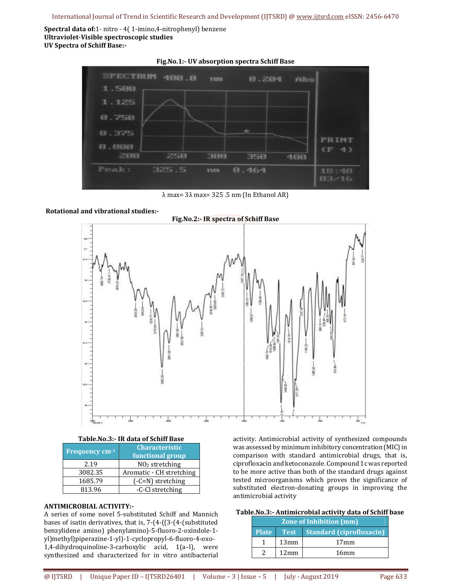**Spectral data of:**1- nitro - 4( 1-imino,4-nitrophenyl) benzene **Ultraviolet-Visible spectroscopic studies UV Spectra of Schiff Base:-** 



λ max= 3λ max= 325 .5 nm (In Ethanol AR)

## **Rotational and vibrational studies:-**



#### **Table.No.3:- IR data of Schiff Base**

| Frequency cm <sup>-1</sup> | <b>Characteristic</b><br>functional group |  |  |
|----------------------------|-------------------------------------------|--|--|
| 2.19                       | NO <sub>2</sub> stretching                |  |  |
| 3082.35                    | Aromatic - CH stretching                  |  |  |
| 1685.79                    | $(-C=N)$ stretching                       |  |  |
| 813.96                     | -C-Cl stretching                          |  |  |

## **ANTIMICROBIAL ACTIVITY:-**

A series of some novel 5-substituted Schiff and Mannich bases of isatin derivatives, that is, 7-(4-((3-(4-(substituted benzylidene amino) phenylamino)-5-fluoro-2-oxindole-1 yl)methyl)piperazine-1-yl)-1-cyclopropyl-6-fluoro-4-oxo-1,4-dihydroquinoline-3-carboxylic acid, 1(a–l), were synthesized and characterized for in vitro antibacterial activity. Antimicrobial activity of synthesized compounds was assessed by minimum inhibitory concentration (MIC) in comparison with standard antimicrobial drugs, that is, ciprofloxacin and ketoconazole. Compound 1c was reported to be more active than both of the standard drugs against tested microorganisms which proves the significance of substituted electron-donating groups in improving the antimicrobial activity

## **Table.No.3:- Antimicrobial activity data of Schiff base**

| <b>Zone of Inhibition (mm)</b> |      |                                      |  |  |  |  |
|--------------------------------|------|--------------------------------------|--|--|--|--|
| <b>Plate</b>                   |      | <b>Test</b> Standard (ciprofloxacin) |  |  |  |  |
|                                | 13mm | $17 \text{mm}$                       |  |  |  |  |
|                                | 12mm | 16mm                                 |  |  |  |  |